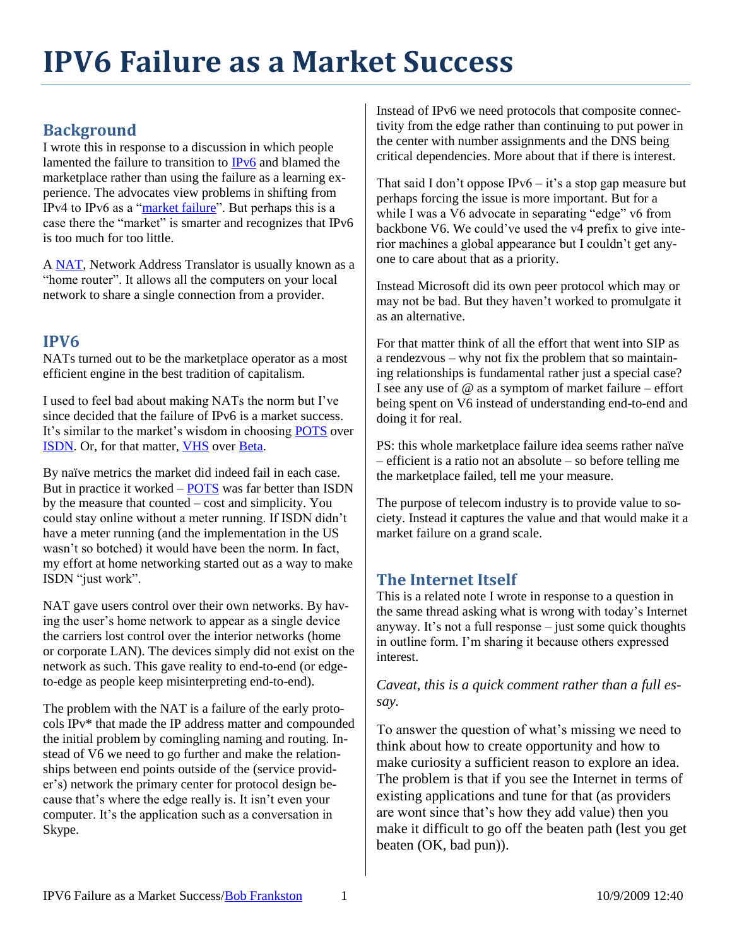## **IPV6 Failure as a Market Success**

## **Background**

I wrote this in response to a discussion in which people lamented the failure to transition to [IPv6](http://en.wikipedia.org/wiki/IPV6) and blamed the marketplace rather than using the failure as a learning experience. The advocates view problems in shifting from IPv4 to IPv6 as a ["market failure"](http://en.wikipedia.org/wiki/Market_failure). But perhaps this is a case there the "market" is smarter and recognizes that IPv6 is too much for too little.

A [NAT,](http://en.wikipedia.org/wiki/Network_address_translation) Network Address Translator is usually known as a "home router". It allows all the computers on your local network to share a single connection from a provider.

## **IPV6**

NATs turned out to be the marketplace operator as a most efficient engine in the best tradition of capitalism.

I used to feel bad about making NATs the norm but I've since decided that the failure of IPv6 is a market success. It's similar to the market's wisdom in choosing [POTS](http://en.wikipedia.org/wiki/POTS) over **ISDN**. Or, for that matter, **VHS** over **Beta**.

By naïve metrics the market did indeed fail in each case. But in practice it worked – [POTS](http://en.wikipedia.org/wiki/POTS) was far better than ISDN by the measure that counted – cost and simplicity. You could stay online without a meter running. If ISDN didn't have a meter running (and the implementation in the US wasn't so botched) it would have been the norm. In fact, my effort at home networking started out as a way to make ISDN "just work".

NAT gave users control over their own networks. By having the user's home network to appear as a single device the carriers lost control over the interior networks (home or corporate LAN). The devices simply did not exist on the network as such. This gave reality to end-to-end (or edgeto-edge as people keep misinterpreting end-to-end).

The problem with the NAT is a failure of the early protocols IPv\* that made the IP address matter and compounded the initial problem by comingling naming and routing. Instead of V6 we need to go further and make the relationships between end points outside of the (service provider's) network the primary center for protocol design because that's where the edge really is. It isn't even your computer. It's the application such as a conversation in Skype.

Instead of IPv6 we need protocols that composite connectivity from the edge rather than continuing to put power in the center with number assignments and the DNS being critical dependencies. More about that if there is interest.

That said I don't oppose IPv6 – it's a stop gap measure but perhaps forcing the issue is more important. But for a while I was a V6 advocate in separating "edge" v6 from backbone V6. We could've used the v4 prefix to give interior machines a global appearance but I couldn't get anyone to care about that as a priority.

Instead Microsoft did its own peer protocol which may or may not be bad. But they haven't worked to promulgate it as an alternative.

For that matter think of all the effort that went into SIP as a rendezvous – why not fix the problem that so maintaining relationships is fundamental rather just a special case? I see any use of  $\omega$  as a symptom of market failure – effort being spent on V6 instead of understanding end-to-end and doing it for real.

PS: this whole marketplace failure idea seems rather naïve – efficient is a ratio not an absolute – so before telling me the marketplace failed, tell me your measure.

The purpose of telecom industry is to provide value to society. Instead it captures the value and that would make it a market failure on a grand scale.

## **The Internet Itself**

This is a related note I wrote in response to a question in the same thread asking what is wrong with today's Internet anyway. It's not a full response – just some quick thoughts in outline form. I'm sharing it because others expressed interest.

*Caveat, this is a quick comment rather than a full essay.*

To answer the question of what's missing we need to think about how to create opportunity and how to make curiosity a sufficient reason to explore an idea. The problem is that if you see the Internet in terms of existing applications and tune for that (as providers are wont since that's how they add value) then you make it difficult to go off the beaten path (lest you get beaten (OK, bad pun)).